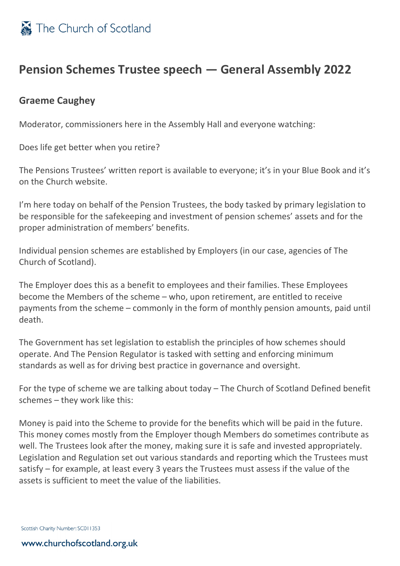

## **Pension Schemes Trustee speech — General Assembly 2022**

## **Graeme Caughey**

Moderator, commissioners here in the Assembly Hall and everyone watching:

Does life get better when you retire?

The Pensions Trustees' written report is available to everyone; it's in your Blue Book and it's on the Church website.

I'm here today on behalf of the Pension Trustees, the body tasked by primary legislation to be responsible for the safekeeping and investment of pension schemes' assets and for the proper administration of members' benefits.

Individual pension schemes are established by Employers (in our case, agencies of The Church of Scotland).

The Employer does this as a benefit to employees and their families. These Employees become the Members of the scheme – who, upon retirement, are entitled to receive payments from the scheme – commonly in the form of monthly pension amounts, paid until death.

The Government has set legislation to establish the principles of how schemes should operate. And The Pension Regulator is tasked with setting and enforcing minimum standards as well as for driving best practice in governance and oversight.

For the type of scheme we are talking about today – The Church of Scotland Defined benefit schemes – they work like this:

Money is paid into the Scheme to provide for the benefits which will be paid in the future. This money comes mostly from the Employer though Members do sometimes contribute as well. The Trustees look after the money, making sure it is safe and invested appropriately. Legislation and Regulation set out various standards and reporting which the Trustees must satisfy – for example, at least every 3 years the Trustees must assess if the value of the assets is sufficient to meet the value of the liabilities.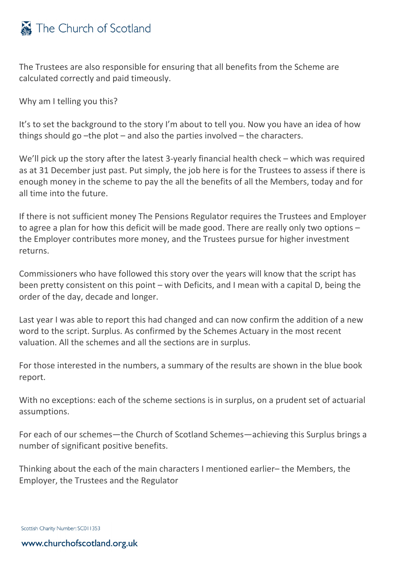

The Trustees are also responsible for ensuring that all benefits from the Scheme are calculated correctly and paid timeously.

Why am I telling you this?

It's to set the background to the story I'm about to tell you. Now you have an idea of how things should go –the plot – and also the parties involved – the characters.

We'll pick up the story after the latest 3-yearly financial health check – which was required as at 31 December just past. Put simply, the job here is for the Trustees to assess if there is enough money in the scheme to pay the all the benefits of all the Members, today and for all time into the future.

If there is not sufficient money The Pensions Regulator requires the Trustees and Employer to agree a plan for how this deficit will be made good. There are really only two options – the Employer contributes more money, and the Trustees pursue for higher investment returns.

Commissioners who have followed this story over the years will know that the script has been pretty consistent on this point – with Deficits, and I mean with a capital D, being the order of the day, decade and longer.

Last year I was able to report this had changed and can now confirm the addition of a new word to the script. Surplus. As confirmed by the Schemes Actuary in the most recent valuation. All the schemes and all the sections are in surplus.

For those interested in the numbers, a summary of the results are shown in the blue book report.

With no exceptions: each of the scheme sections is in surplus, on a prudent set of actuarial assumptions.

For each of our schemes—the Church of Scotland Schemes—achieving this Surplus brings a number of significant positive benefits.

Thinking about the each of the main characters I mentioned earlier– the Members, the Employer, the Trustees and the Regulator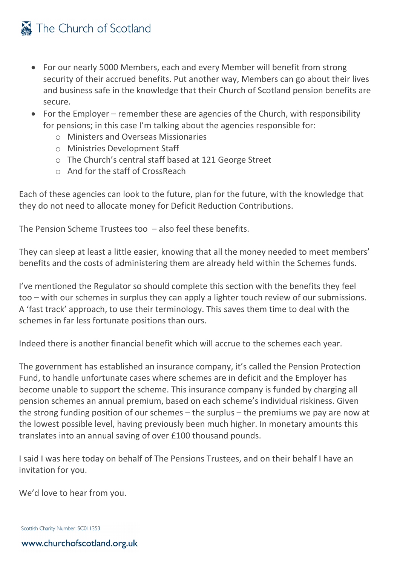## The Church of Scotland

- For our nearly 5000 Members, each and every Member will benefit from strong security of their accrued benefits. Put another way, Members can go about their lives and business safe in the knowledge that their Church of Scotland pension benefits are secure.
- For the Employer remember these are agencies of the Church, with responsibility for pensions; in this case I'm talking about the agencies responsible for:
	- o Ministers and Overseas Missionaries
	- o Ministries Development Staff
	- o The Church's central staff based at 121 George Street
	- o And for the staff of CrossReach

Each of these agencies can look to the future, plan for the future, with the knowledge that they do not need to allocate money for Deficit Reduction Contributions.

The Pension Scheme Trustees too – also feel these benefits.

They can sleep at least a little easier, knowing that all the money needed to meet members' benefits and the costs of administering them are already held within the Schemes funds.

I've mentioned the Regulator so should complete this section with the benefits they feel too – with our schemes in surplus they can apply a lighter touch review of our submissions. A 'fast track' approach, to use their terminology. This saves them time to deal with the schemes in far less fortunate positions than ours.

Indeed there is another financial benefit which will accrue to the schemes each year.

The government has established an insurance company, it's called the Pension Protection Fund, to handle unfortunate cases where schemes are in deficit and the Employer has become unable to support the scheme. This insurance company is funded by charging all pension schemes an annual premium, based on each scheme's individual riskiness. Given the strong funding position of our schemes – the surplus – the premiums we pay are now at the lowest possible level, having previously been much higher. In monetary amounts this translates into an annual saving of over £100 thousand pounds.

I said I was here today on behalf of The Pensions Trustees, and on their behalf I have an invitation for you.

We'd love to hear from you.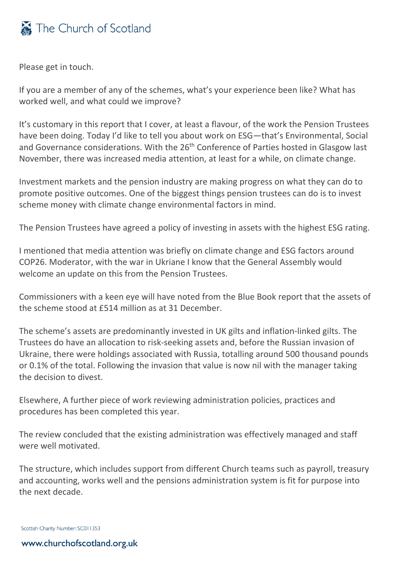

Please get in touch.

If you are a member of any of the schemes, what's your experience been like? What has worked well, and what could we improve?

It's customary in this report that I cover, at least a flavour, of the work the Pension Trustees have been doing. Today I'd like to tell you about work on ESG—that's Environmental, Social and Governance considerations. With the 26<sup>th</sup> Conference of Parties hosted in Glasgow last November, there was increased media attention, at least for a while, on climate change.

Investment markets and the pension industry are making progress on what they can do to promote positive outcomes. One of the biggest things pension trustees can do is to invest scheme money with climate change environmental factors in mind.

The Pension Trustees have agreed a policy of investing in assets with the highest ESG rating.

I mentioned that media attention was briefly on climate change and ESG factors around COP26. Moderator, with the war in Ukriane I know that the General Assembly would welcome an update on this from the Pension Trustees.

Commissioners with a keen eye will have noted from the Blue Book report that the assets of the scheme stood at £514 million as at 31 December.

The scheme's assets are predominantly invested in UK gilts and inflation-linked gilts. The Trustees do have an allocation to risk-seeking assets and, before the Russian invasion of Ukraine, there were holdings associated with Russia, totalling around 500 thousand pounds or 0.1% of the total. Following the invasion that value is now nil with the manager taking the decision to divest.

Elsewhere, A further piece of work reviewing administration policies, practices and procedures has been completed this year.

The review concluded that the existing administration was effectively managed and staff were well motivated.

The structure, which includes support from different Church teams such as payroll, treasury and accounting, works well and the pensions administration system is fit for purpose into the next decade.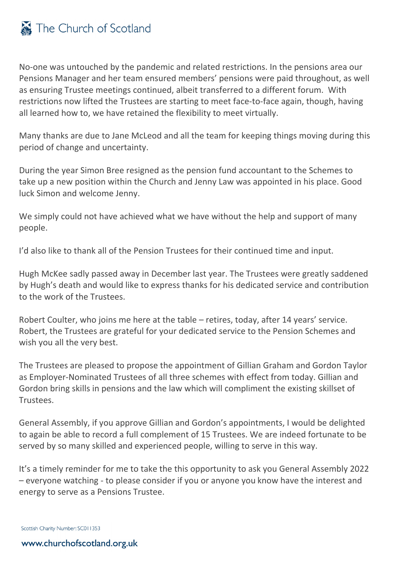

No-one was untouched by the pandemic and related restrictions. In the pensions area our Pensions Manager and her team ensured members' pensions were paid throughout, as well as ensuring Trustee meetings continued, albeit transferred to a different forum. With restrictions now lifted the Trustees are starting to meet face-to-face again, though, having all learned how to, we have retained the flexibility to meet virtually.

Many thanks are due to Jane McLeod and all the team for keeping things moving during this period of change and uncertainty.

During the year Simon Bree resigned as the pension fund accountant to the Schemes to take up a new position within the Church and Jenny Law was appointed in his place. Good luck Simon and welcome Jenny.

We simply could not have achieved what we have without the help and support of many people.

I'd also like to thank all of the Pension Trustees for their continued time and input.

Hugh McKee sadly passed away in December last year. The Trustees were greatly saddened by Hugh's death and would like to express thanks for his dedicated service and contribution to the work of the Trustees.

Robert Coulter, who joins me here at the table – retires, today, after 14 years' service. Robert, the Trustees are grateful for your dedicated service to the Pension Schemes and wish you all the very best.

The Trustees are pleased to propose the appointment of Gillian Graham and Gordon Taylor as Employer-Nominated Trustees of all three schemes with effect from today. Gillian and Gordon bring skills in pensions and the law which will compliment the existing skillset of Trustees.

General Assembly, if you approve Gillian and Gordon's appointments, I would be delighted to again be able to record a full complement of 15 Trustees. We are indeed fortunate to be served by so many skilled and experienced people, willing to serve in this way.

It's a timely reminder for me to take the this opportunity to ask you General Assembly 2022 – everyone watching - to please consider if you or anyone you know have the interest and energy to serve as a Pensions Trustee.